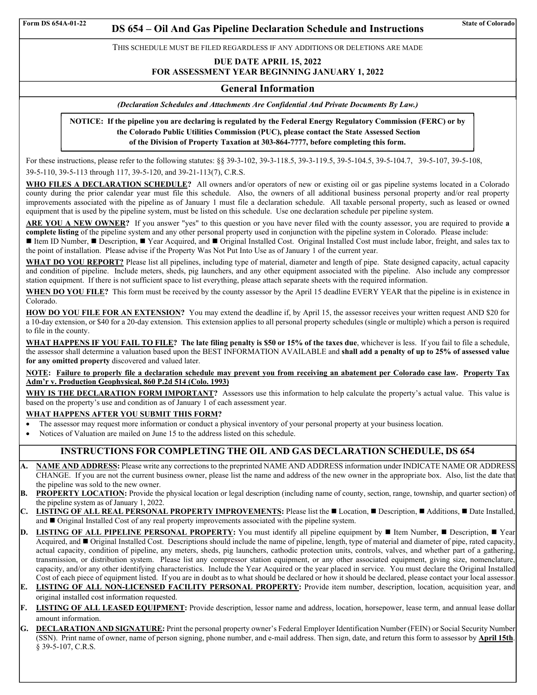# Form DS 654A-01-22 **DS 654 – Oil And Gas Pipeline Declaration Schedule and Instructions** State of Colorado

THIS SCHEDULE MUST BE FILED REGARDLESS IF ANY ADDITIONS OR DELETIONS ARE MADE

**DUE DATE APRIL 15, 2022 FOR ASSESSMENT YEAR BEGINNING JANUARY 1, 2022** 

### **General Information**

*(Declaration Schedules and Attachments Are Confidential And Private Documents By Law.)* 

**NOTICE: If the pipeline you are declaring is regulated by the Federal Energy Regulatory Commission (FERC) or by the Colorado Public Utilities Commission (PUC), please contact the State Assessed Section of the Division of Property Taxation at 303-864-7777, before completing this form.**

For these instructions, please refer to the following statutes: §§ 39-3-102, 39-3-118.5, 39-3-119.5, 39-5-104.5, 39-5-104.7, 39-5-107, 39-5-108, 39-5-110, 39-5-113 through 117, 39-5-120, and 39-21-113(7), C.R.S.

**WHO FILES A DECLARATION SCHEDULE?** All owners and/or operators of new or existing oil or gas pipeline systems located in a Colorado county during the prior calendar year must file this schedule. Also, the owners of all additional business personal property and/or real property improvements associated with the pipeline as of January 1 must file a declaration schedule. All taxable personal property, such as leased or owned equipment that is used by the pipeline system, must be listed on this schedule. Use one declaration schedule per pipeline system.

**ARE YOU A NEW OWNER?** If you answer "yes" to this question or you have never filed with the county assessor, you are required to provide **a complete listing** of the pipeline system and any other personal property used in conjunction with the pipeline system in Colorado. Please include:

■ Item ID Number, ■ Description, ■ Year Acquired, and ■ Original Installed Cost. Original Installed Cost must include labor, freight, and sales tax to the point of installation. Please advise if the Property Was Not Put Into Use as of January 1 of the current year.

WHAT DO YOU REPORT? Please list all pipelines, including type of material, diameter and length of pipe. State designed capacity, actual capacity and condition of pipeline. Include meters, sheds, pig launchers, and any other equipment associated with the pipeline. Also include any compressor station equipment. If there is not sufficient space to list everything, please attach separate sheets with the required information.

**WHEN DO YOU FILE?** This form must be received by the county assessor by the April 15 deadline EVERY YEAR that the pipeline is in existence in Colorado.

**HOW DO YOU FILE FOR AN EXTENSION?** You may extend the deadline if, by April 15, the assessor receives your written request AND \$20 for a 10-day extension, or \$40 for a 20-day extension. This extension applies to all personal property schedules (single or multiple) which a person is required to file in the county.

**WHAT HAPPENS IF YOU FAIL TO FILE? The late filing penalty is \$50 or 15% of the taxes due**, whichever is less. If you fail to file a schedule, the assessor shall determine a valuation based upon the BEST INFORMATION AVAILABLE and **shall add a penalty of up to 25% of assessed value for any omitted property** discovered and valued later.

**NOTE: Failure to properly file a declaration schedule may prevent you from receiving an abatement per Colorado case law. Property Tax Adm'r v. Production Geophysical, 860 P.2d 514 (Colo. 1993)** 

**WHY IS THE DECLARATION FORM IMPORTANT?** Assessors use this information to help calculate the property's actual value. This value is based on the property's use and condition as of January 1 of each assessment year.

#### **WHAT HAPPENS AFTER YOU SUBMIT THIS FORM?**

- The assessor may request more information or conduct a physical inventory of your personal property at your business location.
- Notices of Valuation are mailed on June 15 to the address listed on this schedule.

### **INSTRUCTIONS FOR COMPLETING THE OIL AND GAS DECLARATION SCHEDULE, DS 654**

- **A. NAME AND ADDRESS:** Please write any corrections to the preprinted NAME AND ADDRESS information under INDICATE NAME OR ADDRESS CHANGE. If you are not the current business owner, please list the name and address of the new owner in the appropriate box. Also, list the date that the pipeline was sold to the new owner.
- **B. PROPERTY LOCATION:** Provide the physical location or legal description (including name of county, section, range, township, and quarter section) of the pipeline system as of January 1, 2022.
- C. **LISTING OF ALL REAL PERSONAL PROPERTY IMPROVEMENTS:** Please list the ■Location, Description, Additions, Date Installed, and  $\blacksquare$  Original Installed Cost of any real property improvements associated with the pipeline system.
- **D.** LISTING OF ALL PIPELINE PERSONAL PROPERTY: You must identify all pipeline equipment by **II** Item Number, **II** Description, **II** Year Acquired, and  $\blacksquare$  Original Installed Cost. Descriptions should include the name of pipeline, length, type of material and diameter of pipe, rated capacity, actual capacity, condition of pipeline, any meters, sheds, pig launchers, cathodic protection units, controls, valves, and whether part of a gathering, transmission, or distribution system. Please list any compressor station equipment, or any other associated equipment, giving size, nomenclature, capacity, and/or any other identifying characteristics. Include the Year Acquired or the year placed in service. You must declare the Original Installed Cost of each piece of equipment listed. If you are in doubt as to what should be declared or how it should be declared, please contact your local assessor.
- **E. LISTING OF ALL NON-LICENSED FACILITY PERSONAL PROPERTY:** Provide item number, description, location, acquisition year, and original installed cost information requested.
- **F. LISTING OF ALL LEASED EQUIPMENT:** Provide description, lessor name and address, location, horsepower, lease term, and annual lease dollar amount information.
- **G. DECLARATION AND SIGNATURE:** Print the personal property owner's Federal Employer Identification Number (FEIN) or Social Security Number (SSN). Print name of owner, name of person signing, phone number, and e-mail address. Then sign, date, and return this form to assessor by **April 15th**. § 39-5-107, C.R.S.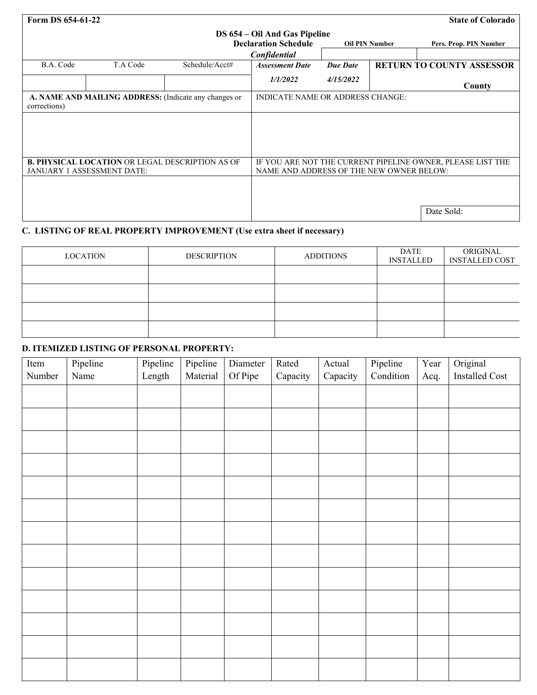| Form DS 654-61-22 |
|-------------------|
|-------------------|

## **State of Colorado**

| DS 654 – Oil And Gas Pipeline |                                                       |                                                        |                                          |                 |                       |                                                            |
|-------------------------------|-------------------------------------------------------|--------------------------------------------------------|------------------------------------------|-----------------|-----------------------|------------------------------------------------------------|
|                               |                                                       |                                                        | <b>Declaration Schedule</b>              |                 | <b>Oil PIN Number</b> | Pers. Prop. PIN Number                                     |
|                               |                                                       |                                                        | Confidential                             |                 |                       |                                                            |
| B.A. Code                     | T.A Code                                              | Schedule/Acct#                                         | <b>Assessment Date</b>                   | <b>Due Date</b> |                       | <b>RETURN TO COUNTY ASSESSOR</b>                           |
|                               |                                                       |                                                        | 1/1/2022                                 | 4/15/2022       |                       | County                                                     |
| corrections)                  | A. NAME AND MAILING ADDRESS: (Indicate any changes or | <b>INDICATE NAME OR ADDRESS CHANGE:</b>                |                                          |                 |                       |                                                            |
|                               |                                                       |                                                        |                                          |                 |                       |                                                            |
|                               |                                                       |                                                        |                                          |                 |                       |                                                            |
|                               |                                                       |                                                        |                                          |                 |                       |                                                            |
|                               |                                                       | <b>B. PHYSICAL LOCATION OR LEGAL DESCRIPTION AS OF</b> |                                          |                 |                       | IF YOU ARE NOT THE CURRENT PIPELINE OWNER, PLEASE LIST THE |
|                               | JANUARY 1 ASSESSMENT DATE:                            |                                                        | NAME AND ADDRESS OF THE NEW OWNER BELOW: |                 |                       |                                                            |
|                               |                                                       |                                                        |                                          |                 |                       |                                                            |
|                               |                                                       |                                                        |                                          |                 |                       |                                                            |
|                               |                                                       |                                                        |                                          |                 |                       |                                                            |
|                               |                                                       |                                                        |                                          |                 |                       | Date Sold:                                                 |

## **C. LISTING OF REAL PROPERTY IMPROVEMENT (Use extra sheet if necessary)**

| <b>LOCATION</b> | <b>DESCRIPTION</b> | <b>ADDITIONS</b> | DATE<br><b>INSTALLED</b> | ORIGINAL<br><b>INSTALLED COST</b> |
|-----------------|--------------------|------------------|--------------------------|-----------------------------------|
|                 |                    |                  |                          |                                   |
|                 |                    |                  |                          |                                   |
|                 |                    |                  |                          |                                   |
|                 |                    |                  |                          |                                   |

# **D. ITEMIZED LISTING OF PERSONAL PROPERTY:**

| Item   | Pipeline | Pipeline | Pipeline | Diameter | Rated    | Actual   | Pipeline  | Year | Original       |
|--------|----------|----------|----------|----------|----------|----------|-----------|------|----------------|
| Number | Name     | Length   | Material | Of Pipe  | Capacity | Capacity | Condition | Acq. | Installed Cost |
|        |          |          |          |          |          |          |           |      |                |
|        |          |          |          |          |          |          |           |      |                |
|        |          |          |          |          |          |          |           |      |                |
|        |          |          |          |          |          |          |           |      |                |
|        |          |          |          |          |          |          |           |      |                |
|        |          |          |          |          |          |          |           |      |                |
|        |          |          |          |          |          |          |           |      |                |
|        |          |          |          |          |          |          |           |      |                |
|        |          |          |          |          |          |          |           |      |                |
|        |          |          |          |          |          |          |           |      |                |
|        |          |          |          |          |          |          |           |      |                |
|        |          |          |          |          |          |          |           |      |                |
|        |          |          |          |          |          |          |           |      |                |
|        |          |          |          |          |          |          |           |      |                |